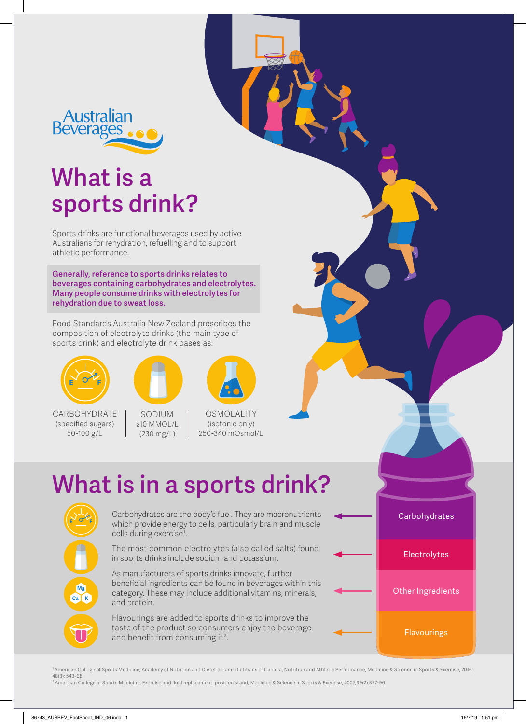

## **What is a sports drink?**

Sports drinks are functional beverages used by active Australians for rehydration, refuelling and to support athletic performance.

**Generally, reference to sports drinks relates to beverages containing carbohydrates and electrolytes. Many people consume drinks with electrolytes for rehydration due to sweat loss.** 

Food Standards Australia New Zealand prescribes the composition of electrolyte drinks (the main type of sports drink) and electrolyte drink bases as:



CARBOHYDRATE (specified sugars) 50-100 g/L



SODIUM ≥10 MMOL/L (230 mg/L)



(isotonic only) 250-340 mOsmol/L

# **What is in a sports drink?**



Carbohydrates are the body's fuel. They are macronutrients which provide energy to cells, particularly brain and muscle cells during exercise1 .

The most common electrolytes (also called salts) found in sports drinks include sodium and potassium.

As manufacturers of sports drinks innovate, further beneficial ingredients can be found in beverages within this category. These may include additional vitamins, minerals, and protein.

Flavourings are added to sports drinks to improve the taste of the product so consumers enjoy the beverage and benefit from consuming it<sup>2</sup>.



Flavourings

1 American College of Sports Medicine, Academy of Nutrition and Dietetics, and Dietitians of Canada, Nutrition and Athletic Performance, Medicine & Science in Sports & Exercise, 2016; 48(3): 543-68. 2 American College of Sports Medicine, Exercise and fluid replacement: position stand, Medicine & Science in Sports & Exercise, 2007;39(2):377-90.